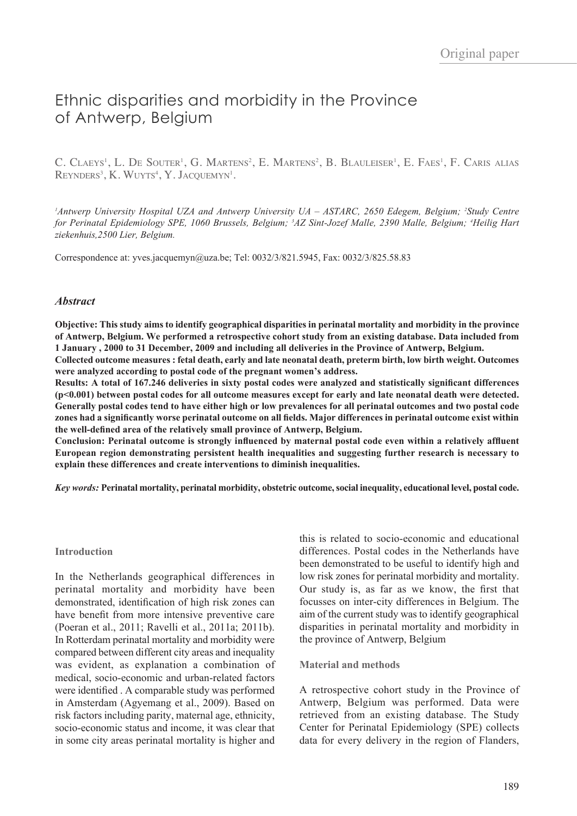# Ethnic disparities and morbidity in the Province of Antwerp, Belgium

C. Claeys<sup>1</sup>, L. De Souter<sup>1</sup>, G. Martens<sup>2</sup>, E. Martens<sup>2</sup>, B. Blauleiser<sup>1</sup>, E. Faes<sup>1</sup>, F. Caris alias  $\mathrm{R}$ eynders<sup>3</sup>, K. Wuyts<sup>4</sup>, Y. Jacquemyn<sup>1</sup>.

<sup>1</sup>Antwerp University Hospital UZA and Antwerp University UA – ASTARC, 2650 Edegem, Belgium; <sup>2</sup>Study Centre *for Perinatal Epidemiology SPE, 1060 Brussels, Belgium; 3 AZ Sint-Jozef Malle, 2390 Malle, Belgium; 4 Heilig Hart ziekenhuis,2500 Lier, Belgium.*

Correspondence at: yves.jacquemyn@uza.be; Tel: 0032/3/821.5945, Fax: 0032/3/825.58.83

# *Abstract*

**Objective: This study aims to identify geographical disparities in perinatal mortality and morbidity in the province of Antwerp, Belgium. We performed a retrospective cohort study from an existing database. Data included from 1 January , 2000 to 31 December, 2009 and including all deliveries in the Province of Antwerp, Belgium.** 

**Collected outcome measures : fetal death, early and late neonatal death, preterm birth, low birth weight. Outcomes were analyzed according to postal code of the pregnant women's address.** 

**Results: A total of 167.246 deliveries in sixty postal codes were analyzed and statistically significant differences (p<0.001) between postal codes for all outcome measures except for early and late neonatal death were detected. Generally postal codes tend to have either high or low prevalences for all perinatal outcomes and two postal code zones had a significantly worse perinatal outcome on all fields. Major differences in perinatal outcome exist within the well-defined area of the relatively small province of Antwerp, Belgium.** 

**Conclusion: Perinatal outcome is strongly influenced by maternal postal code even within a relatively affluent European region demonstrating persistent health inequalities and suggesting further research is necessary to explain these differences and create interventions to diminish inequalities.**

*Key words:* **Perinatal mortality, perinatal morbidity, obstetric outcome, social inequality, educational level, postal code.**

### **Introduction**

In the Netherlands geographical differences in perinatal mortality and morbidity have been demonstrated, identification of high risk zones can have benefit from more intensive preventive care (Poeran et al., 2011; Ravelli et al., 2011a; 2011b). In Rotterdam perinatal mortality and morbidity were compared between different city areas and inequality was evident, as explanation a combination of medical, socio-economic and urban-related factors were identified . A comparable study was performed in Amsterdam (Agyemang et al., 2009). Based on risk factors including parity, maternal age, ethnicity, socio-economic status and income, it was clear that in some city areas perinatal mortality is higher and

this is related to socio-economic and educational differences. Postal codes in the Netherlands have been demonstrated to be useful to identify high and low risk zones for perinatal morbidity and mortality. Our study is, as far as we know, the first that focusses on inter-city differences in Belgium. The aim of the current study was to identify geographical disparities in perinatal mortality and morbidity in the province of Antwerp, Belgium

### **Material and methods**

A retrospective cohort study in the Province of Antwerp, Belgium was performed. Data were retrieved from an existing database. The Study Center for Perinatal Epidemiology (SPE) collects data for every delivery in the region of Flanders,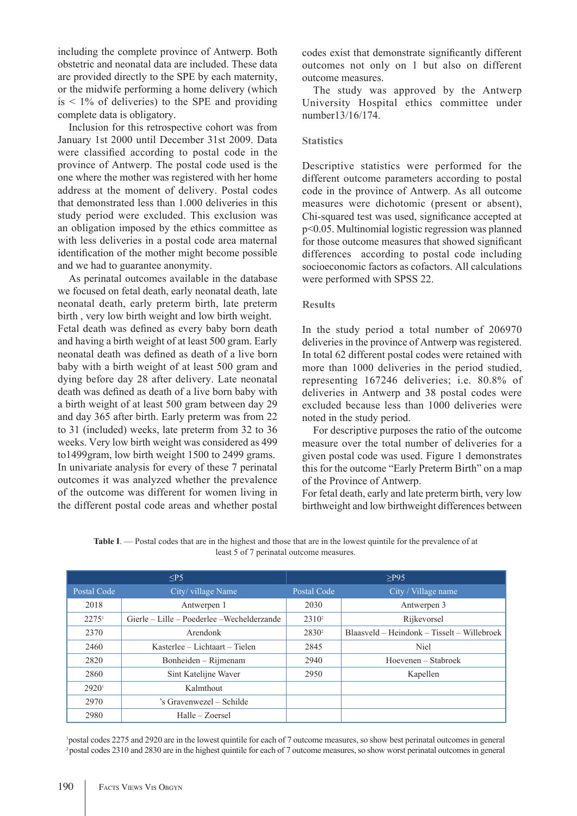including the complete province of Antwerp. Both obstetric and neonatal data are included. These data are provided directly to the SPE by each maternity, or the midwife performing a home delivery (which  $is < 1\%$  of deliveries) to the SPE and providing complete data is obligatory.

Inclusion for this retrospective cohort was from January 1st 2000 until December 31st 2009. Data were classified according to postal code in the province of Antwerp. The postal code used is the one where the mother was registered with her home address at the moment of delivery. Postal codes that demonstrated less than 1.000 deliveries in this study period were excluded. This exclusion was an obligation imposed by the ethics committee as with less deliveries in a postal code area maternal identification of the mother might become possible and we had to guarantee anonymity.

As perinatal outcomes available in the database we focused on fetal death, early neonatal death, late neonatal death, early preterm birth, late preterm birth , very low birth weight and low birth weight. Fetal death was defined as every baby born death and having a birth weight of at least 500 gram. Early neonatal death was defined as death of a live born baby with a birth weight of at least 500 gram and dying before day 28 after delivery. Late neonatal death was defined as death of a live born baby with a birth weight of at least 500 gram between day 29 and day 365 after birth. Early preterm was from 22 to 31 (included) weeks, late preterm from 32 to 36 weeks. Very low birth weight was considered as 499 to1499gram, low birth weight 1500 to 2499 grams. In univariate analysis for every of these 7 perinatal outcomes it was analyzed whether the prevalence of the outcome was different for women living in the different postal code areas and whether postal codes exist that demonstrate significantly different outcomes not only on 1 but also on different outcome measures.

The study was approved by the Antwerp University Hospital ethics committee under number13/16/174.

# **Statistics**

Descriptive statistics were performed for the different outcome parameters according to postal code in the province of Antwerp. As all outcome measures were dichotomic (present or absent), Chi-squared test was used, significance accepted at p<0.05. Multinomial logistic regression was planned for those outcome measures that showed significant differences according to postal code including socioeconomic factors as cofactors. All calculations were performed with SPSS 22.

# **Results**

In the study period a total number of 206970 deliveries in the province of Antwerp was registered. In total 62 different postal codes were retained with more than 1000 deliveries in the period studied, representing 167246 deliveries; i.e. 80.8% of deliveries in Antwerp and 38 postal codes were excluded because less than 1000 deliveries were noted in the study period.

For descriptive purposes the ratio of the outcome measure over the total number of deliveries for a given postal code was used. Figure 1 demonstrates this for the outcome "Early Preterm Birth" on a map of the Province of Antwerp.

For fetal death, early and late preterm birth, very low birthweight and low birthweight differences between

| <b>Table I</b> . — Postal codes that are in the highest and those that are in the lowest quintile for the prevalence of at |  |
|----------------------------------------------------------------------------------------------------------------------------|--|
| least 5 of 7 perinatal outcome measures.                                                                                   |  |

| < P5              |                                             | $>$ P95           |                                             |  |
|-------------------|---------------------------------------------|-------------------|---------------------------------------------|--|
| Postal Code       | City/ village Name                          | Postal Code       | City / Village name                         |  |
| 2018              | Antwerpen 1                                 | 2030              | Antwerpen 3                                 |  |
| $2275^1$          | Gierle – Lille – Poederlee – Wechelderzande | 2310 <sup>2</sup> | Rijkevorsel                                 |  |
| 2370              | Arendonk                                    | $2830^2$          | Blaasveld – Heindonk – Tisselt – Willebroek |  |
| 2460              | Kasterlee – Lichtaart – Tielen              | 2845              | <b>Niel</b>                                 |  |
| 2820              | Bonheiden – Rijmenam                        | 2940              | Hoevenen – Stabroek                         |  |
| 2860              | Sint Katelijne Waver                        | 2950<br>Kapellen  |                                             |  |
| 2920 <sup>1</sup> | Kalmthout                                   |                   |                                             |  |
| 2970              | 's Gravenwezel – Schilde                    |                   |                                             |  |
| 2980              | Halle – Zoersel                             |                   |                                             |  |

1 postal codes 2275 and 2920 are in the lowest quintile for each of 7 outcome measures, so show best perinatal outcomes in general 2 postal codes 2310 and 2830 are in the highest quintile for each of 7 outcome measures, so show worst perinatal outcomes in general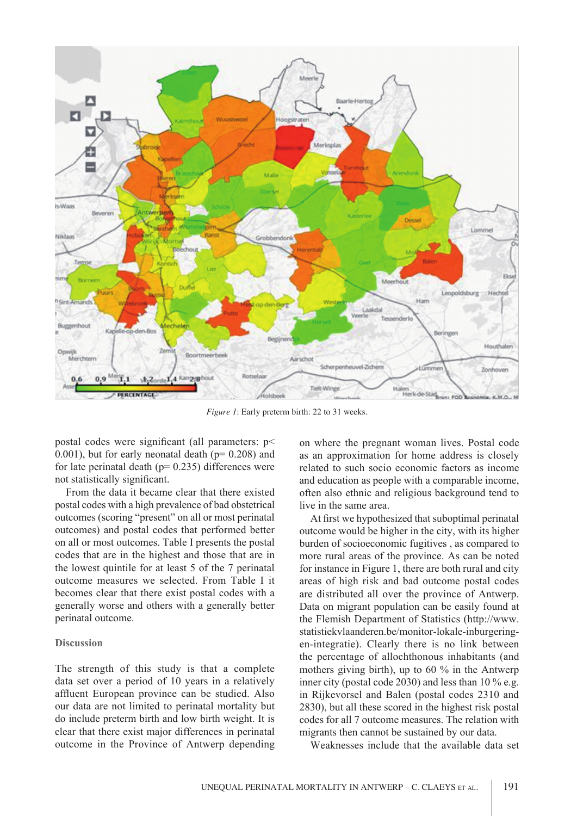

*Figure 1*: Early preterm birth: 22 to 31 weeks.

postal codes were significant (all parameters: p<  $(0.001)$ , but for early neonatal death ( $p= 0.208$ ) and for late perinatal death ( $p= 0.235$ ) differences were not statistically significant.

From the data it became clear that there existed postal codes with a high prevalence of bad obstetrical outcomes (scoring "present" on all or most perinatal outcomes) and postal codes that performed better on all or most outcomes. Table I presents the postal codes that are in the highest and those that are in the lowest quintile for at least 5 of the 7 perinatal outcome measures we selected. From Table I it becomes clear that there exist postal codes with a generally worse and others with a generally better perinatal outcome.

# **Discussion**

The strength of this study is that a complete data set over a period of 10 years in a relatively affluent European province can be studied. Also our data are not limited to perinatal mortality but do include preterm birth and low birth weight. It is clear that there exist major differences in perinatal outcome in the Province of Antwerp depending on where the pregnant woman lives. Postal code as an approximation for home address is closely related to such socio economic factors as income and education as people with a comparable income, often also ethnic and religious background tend to live in the same area.

At first we hypothesized that suboptimal perinatal outcome would be higher in the city, with its higher burden of socioeconomic fugitives , as compared to more rural areas of the province. As can be noted for instance in Figure 1, there are both rural and city areas of high risk and bad outcome postal codes are distributed all over the province of Antwerp. Data on migrant population can be easily found at the Flemish Department of Statistics (http://www. statistiekvlaanderen.be/monitor-lokale-inburgeringen-integratie). Clearly there is no link between the percentage of allochthonous inhabitants (and mothers giving birth), up to 60 % in the Antwerp inner city (postal code 2030) and less than 10 % e.g. in Rijkevorsel and Balen (postal codes 2310 and 2830), but all these scored in the highest risk postal codes for all 7 outcome measures. The relation with migrants then cannot be sustained by our data.

Weaknesses include that the available data set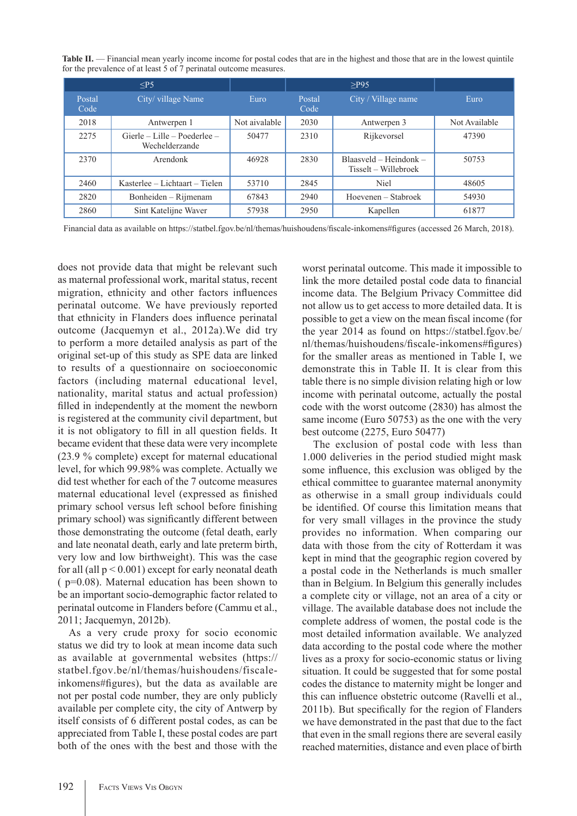Table II. — Financial mean yearly income income for postal codes that are in the highest and those that are in the lowest quintile for the prevalence of at least 5 of 7 perinatal outcome measures.

|                | $<$ P5                                           |               | $>$ P95        |                                                  |               |
|----------------|--------------------------------------------------|---------------|----------------|--------------------------------------------------|---------------|
| Postal<br>Code | City/village Name                                | Euro          | Postal<br>Code | City / Village name                              | Euro          |
| 2018           | Antwerpen 1                                      | Not aivalable | 2030           | Antwerpen 3                                      | Not Available |
| 2275           | $Gierle - Lille - Poederlee -$<br>Wechelderzande | 50477         | 2310           | Rijkevorsel                                      | 47390         |
| 2370           | Arendonk                                         | 46928         | 2830           | $Blaasveld - Heindonk -$<br>Tisselt – Willebroek | 50753         |
| 2460           | Kasterlee – Lichtaart – Tielen                   | 53710         | 2845           | Niel                                             | 48605         |
| 2820           | Bonheiden – Rijmenam                             | 67843         | 2940           | Hoevenen – Stabroek                              | 54930         |
| 2860           | Sint Katelijne Waver                             | 57938         | 2950           | Kapellen                                         | 61877         |

Financial data as available on https://statbel.fgov.be/nl/themas/huishoudens/fiscale-inkomens#figures (accessed 26 March, 2018).

does not provide data that might be relevant such as maternal professional work, marital status, recent migration, ethnicity and other factors influences perinatal outcome. We have previously reported that ethnicity in Flanders does influence perinatal outcome (Jacquemyn et al., 2012a).We did try to perform a more detailed analysis as part of the original set-up of this study as SPE data are linked to results of a questionnaire on socioeconomic factors (including maternal educational level, nationality, marital status and actual profession) filled in independently at the moment the newborn is registered at the community civil department, but it is not obligatory to fill in all question fields. It became evident that these data were very incomplete (23.9 % complete) except for maternal educational level, for which 99.98% was complete. Actually we did test whether for each of the 7 outcome measures maternal educational level (expressed as finished primary school versus left school before finishing primary school) was significantly different between those demonstrating the outcome (fetal death, early and late neonatal death, early and late preterm birth, very low and low birthweight). This was the case for all (all  $p < 0.001$ ) except for early neonatal death ( p=0.08). Maternal education has been shown to be an important socio-demographic factor related to perinatal outcome in Flanders before (Cammu et al., 2011; Jacquemyn, 2012b).

As a very crude proxy for socio economic status we did try to look at mean income data such as available at governmental websites (https:// statbel.fgov.be/nl/themas/huishoudens/fiscaleinkomens#figures), but the data as available are not per postal code number, they are only publicly available per complete city, the city of Antwerp by itself consists of 6 different postal codes, as can be appreciated from Table I, these postal codes are part both of the ones with the best and those with the

worst perinatal outcome. This made it impossible to link the more detailed postal code data to financial income data. The Belgium Privacy Committee did not allow us to get access to more detailed data. It is possible to get a view on the mean fiscal income (for the year 2014 as found on https://statbel.fgov.be/ nl/themas/huishoudens/fiscale-inkomens#figures) for the smaller areas as mentioned in Table I, we demonstrate this in Table II. It is clear from this table there is no simple division relating high or low income with perinatal outcome, actually the postal code with the worst outcome (2830) has almost the same income (Euro 50753) as the one with the very best outcome (2275, Euro 50477)

The exclusion of postal code with less than 1.000 deliveries in the period studied might mask some influence, this exclusion was obliged by the ethical committee to guarantee maternal anonymity as otherwise in a small group individuals could be identified. Of course this limitation means that for very small villages in the province the study provides no information. When comparing our data with those from the city of Rotterdam it was kept in mind that the geographic region covered by a postal code in the Netherlands is much smaller than in Belgium. In Belgium this generally includes a complete city or village, not an area of a city or village. The available database does not include the complete address of women, the postal code is the most detailed information available. We analyzed data according to the postal code where the mother lives as a proxy for socio-economic status or living situation. It could be suggested that for some postal codes the distance to maternity might be longer and this can influence obstetric outcome (Ravelli et al., 2011b). But specifically for the region of Flanders we have demonstrated in the past that due to the fact that even in the small regions there are several easily reached maternities, distance and even place of birth